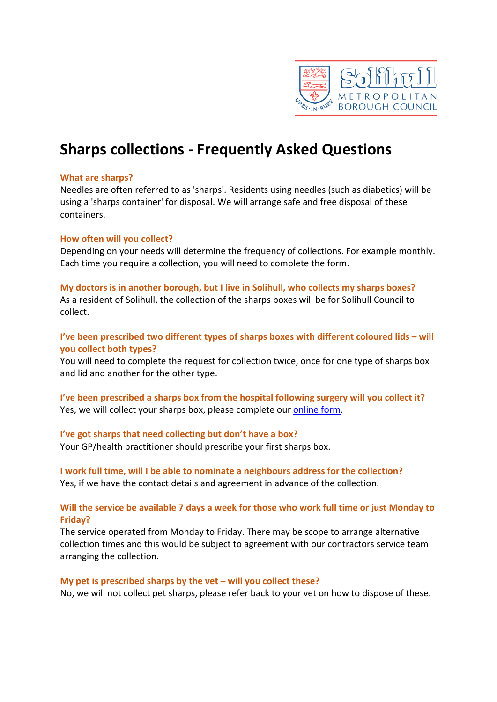

# **Sharps collections - Frequently Asked Questions**

# **What are sharps?**

Needles are often referred to as 'sharps'. Residents using needles (such as diabetics) will be using a 'sharps container' for disposal. We will arrange safe and free disposal of these containers.

## **How often will you collect?**

Depending on your needs will determine the frequency of collections. For example monthly. Each time you require a collection, you will need to complete the form.

## **My doctors is in another borough, but I live in Solihull, who collects my sharps boxes?**

As a resident of Solihull, the collection of the sharps boxes will be for Solihull Council to collect.

# **I've been prescribed two different types of sharps boxes with different coloured lids – will you collect both types?**

You will need to complete the request for collection twice, once for one type of sharps box and lid and another for the other type.

**I've been prescribed a sharps box from the hospital following surgery will you collect it?** Yes, we will collect your sharps box, please complete our [online form.](https://solihullcouncil.custhelp.com/app/smbc/dio/request_it/forms/waste_recycling/request_sharps_collection)

# **I've got sharps that need collecting but don't have a box?**

Your GP/health practitioner should prescribe your first sharps box.

# **I work full time, will I be able to nominate a neighbours address for the collection?** Yes, if we have the contact details and agreement in advance of the collection.

# **Will the service be available 7 days a week for those who work full time or just Monday to Friday?**

The service operated from Monday to Friday. There may be scope to arrange alternative collection times and this would be subject to agreement with our contractors service team arranging the collection.

#### **My pet is prescribed sharps by the vet – will you collect these?**

No, we will not collect pet sharps, please refer back to your vet on how to dispose of these.